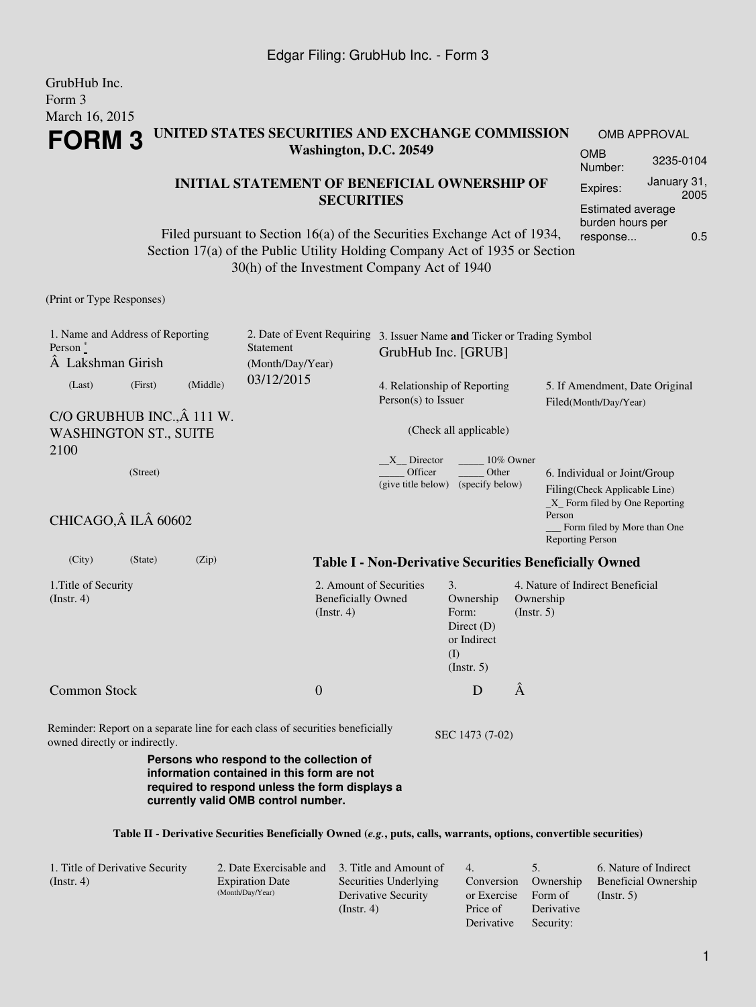GrubHub Inc. Form 3

| March 16, 2015                                                            |                        |                  |                                                                                                                                                                                                                           |                                                                    |                                                               |                                  |                                                                                                  |                     |  |
|---------------------------------------------------------------------------|------------------------|------------------|---------------------------------------------------------------------------------------------------------------------------------------------------------------------------------------------------------------------------|--------------------------------------------------------------------|---------------------------------------------------------------|----------------------------------|--------------------------------------------------------------------------------------------------|---------------------|--|
| UNITED STATES SECURITIES AND EXCHANGE COMMISSION<br><b>FORM 3</b>         |                        |                  |                                                                                                                                                                                                                           |                                                                    | <b>OMB APPROVAL</b>                                           |                                  |                                                                                                  |                     |  |
|                                                                           | Washington, D.C. 20549 |                  |                                                                                                                                                                                                                           |                                                                    |                                                               |                                  | <b>OMB</b><br>Number:                                                                            | 3235-0104           |  |
|                                                                           |                        |                  | <b>INITIAL STATEMENT OF BENEFICIAL OWNERSHIP OF</b>                                                                                                                                                                       |                                                                    |                                                               |                                  | Expires:                                                                                         | January 31,<br>2005 |  |
|                                                                           |                        |                  | <b>SECURITIES</b><br>Filed pursuant to Section 16(a) of the Securities Exchange Act of 1934,<br>Section 17(a) of the Public Utility Holding Company Act of 1935 or Section<br>30(h) of the Investment Company Act of 1940 |                                                                    |                                                               |                                  | Estimated average<br>burden hours per<br>response                                                | 0.5                 |  |
| (Print or Type Responses)                                                 |                        |                  |                                                                                                                                                                                                                           |                                                                    |                                                               |                                  |                                                                                                  |                     |  |
| 1. Name and Address of Reporting<br>Person $\degree$<br>A Lakshman Girish |                        |                  | 2. Date of Event Requiring<br>Statement<br>(Month/Day/Year)                                                                                                                                                               | 3. Issuer Name and Ticker or Trading Symbol<br>GrubHub Inc. [GRUB] |                                                               |                                  |                                                                                                  |                     |  |
| (Last)                                                                    | (First)                | (Middle)         | 03/12/2015                                                                                                                                                                                                                | 4. Relationship of Reporting<br>Person(s) to Issuer                |                                                               |                                  | 5. If Amendment, Date Original<br>Filed(Month/Day/Year)                                          |                     |  |
| C/O GRUBHUB INC., Â 111 W.<br><b>WASHINGTON ST., SUITE</b><br>2100        |                        |                  |                                                                                                                                                                                                                           |                                                                    | (Check all applicable)                                        |                                  |                                                                                                  |                     |  |
|                                                                           | (Street)               |                  |                                                                                                                                                                                                                           | X Director<br>Officer<br>(give title below)                        | Other<br>(specify below)                                      | 10% Owner<br>Person              | 6. Individual or Joint/Group<br>Filing(Check Applicable Line)<br>$X$ Form filed by One Reporting |                     |  |
| CHICAGO, IL 60602                                                         |                        |                  |                                                                                                                                                                                                                           |                                                                    |                                                               |                                  | Form filed by More than One<br><b>Reporting Person</b>                                           |                     |  |
| (City)                                                                    | (State)                | (Zip)            |                                                                                                                                                                                                                           |                                                                    | <b>Table I - Non-Derivative Securities Beneficially Owned</b> |                                  |                                                                                                  |                     |  |
| 1. Title of Security<br>$($ Instr. 4 $)$                                  |                        | $($ Instr. 4 $)$ | 2. Amount of Securities<br><b>Beneficially Owned</b>                                                                                                                                                                      |                                                                    | Ownership<br>$($ Instr. 5 $)$                                 | 4. Nature of Indirect Beneficial |                                                                                                  |                     |  |
| <b>Common Stock</b>                                                       |                        |                  | $\overline{0}$                                                                                                                                                                                                            |                                                                    | D                                                             | Â                                |                                                                                                  |                     |  |
| owned directly or indirectly.                                             |                        |                  | Reminder: Report on a separate line for each class of securities beneficially                                                                                                                                             |                                                                    | SEC 1473 (7-02)                                               |                                  |                                                                                                  |                     |  |
|                                                                           |                        |                  | Persons who respond to the collection of<br>information contained in this form are not<br>required to respond unless the form displays a<br>currently valid OMB control number.                                           |                                                                    |                                                               |                                  |                                                                                                  |                     |  |
|                                                                           |                        |                  | Table II - Derivative Securities Beneficially Owned (e.g., puts, calls, warrants, options, convertible securities)                                                                                                        |                                                                    |                                                               |                                  |                                                                                                  |                     |  |
|                                                                           |                        |                  |                                                                                                                                                                                                                           |                                                                    |                                                               |                                  |                                                                                                  |                     |  |

| 1. Title of Derivative Security | 2. Date Exercisable and 3. Title and Amount of |                       | 4.          |            | 6. Nature of Indirect       |
|---------------------------------|------------------------------------------------|-----------------------|-------------|------------|-----------------------------|
| $($ Instr. 4 $)$                | <b>Expiration Date</b>                         | Securities Underlying | Conversion  | Ownership  | <b>Beneficial Ownership</b> |
|                                 | (Month/Day/Year)                               | Derivative Security   | or Exercise | Form of    | $($ Instr. 5 $)$            |
|                                 |                                                | $($ Instr. 4 $)$      | Price of    | Derivative |                             |
|                                 |                                                |                       | Derivative  | Security:  |                             |